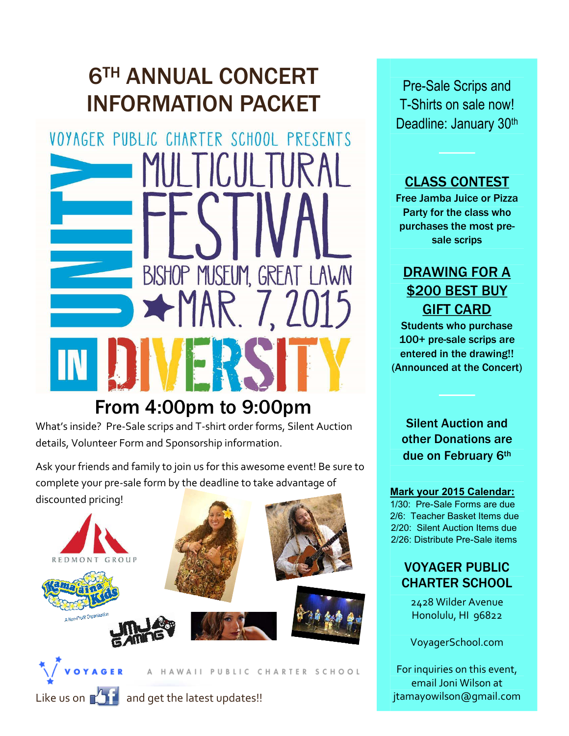# 6TH ANNUAL CONCERT INFORMATION PACKET

VOYAGER PUBLIC CHARTER SCHOOL PRESENTS BISHOP MUSEUM, GREAT LAWN  $+$ MAR 7.20

## From 4:00pm to 9:00pm

What's inside? Pre-Sale scrips and T-shirt order forms, Silent Auction details, Volunteer Form and Sponsorship information.

Ask your friends and family to join us for this awesome event! Be sure to complete your pre-sale form by the deadline to take advantage of discounted pricing!



Pre-Sale Scrips and T-Shirts on sale now! Deadline: January 30<sup>th</sup>

#### CLASS CONTEST

Free Jamba Juice or Pizza Party for the class who purchases the most presale scrips

### DRAWING FOR A \$200 BEST BUY GIFT CARD

Students who purchase 100+ pre-sale scrips are entered in the drawing!! (Announced at the Concert)

Silent Auction and other Donations are due on February 6th

#### **Mark your 2015 Calendar:**

1/30: Pre-Sale Forms are due 2/6: Teacher Basket Items due 2/20: Silent Auction Items due 2/26: Distribute Pre-Sale items

#### VOYAGER PUBLIC CHARTER SCHOOL

2428 Wilder Avenue Honolulu, HI 96822

VoyagerSchool.com

For inquiries on this event, email Joni Wilson at jtamayowilson@gmail.com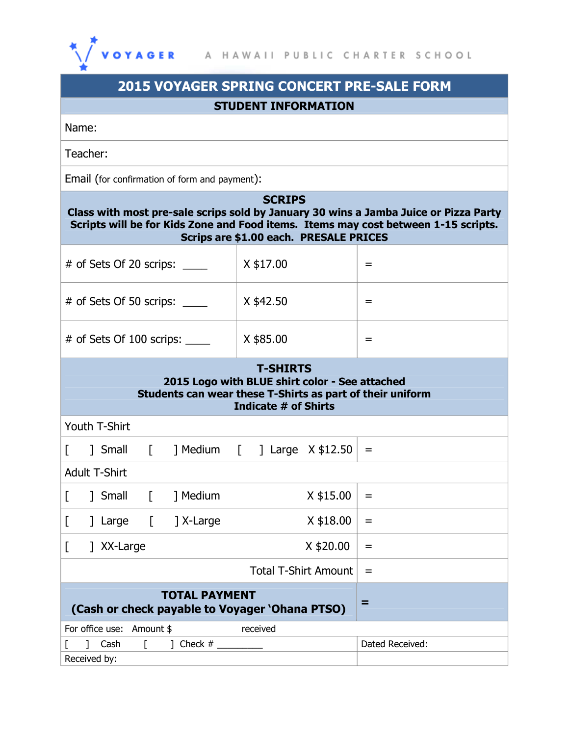

| <b>2015 VOYAGER SPRING CONCERT PRE-SALE FORM</b>                                                                                                                                                                                      |           |     |  |  |  |  |  |  |
|---------------------------------------------------------------------------------------------------------------------------------------------------------------------------------------------------------------------------------------|-----------|-----|--|--|--|--|--|--|
| <b>STUDENT INFORMATION</b>                                                                                                                                                                                                            |           |     |  |  |  |  |  |  |
| Name:                                                                                                                                                                                                                                 |           |     |  |  |  |  |  |  |
| Teacher:                                                                                                                                                                                                                              |           |     |  |  |  |  |  |  |
| Email (for confirmation of form and payment):                                                                                                                                                                                         |           |     |  |  |  |  |  |  |
| <b>SCRIPS</b><br>Class with most pre-sale scrips sold by January 30 wins a Jamba Juice or Pizza Party<br>Scripts will be for Kids Zone and Food items. Items may cost between 1-15 scripts.<br>Scrips are \$1.00 each. PRESALE PRICES |           |     |  |  |  |  |  |  |
| $\#$ of Sets Of 20 scrips: $\_\_$                                                                                                                                                                                                     | X \$17.00 | $=$ |  |  |  |  |  |  |
| # of Sets Of 50 scrips:                                                                                                                                                                                                               | X \$42.50 | Ξ   |  |  |  |  |  |  |
| # of Sets Of 100 scrips:                                                                                                                                                                                                              | X \$85.00 | Ξ   |  |  |  |  |  |  |
| <b>T-SHIRTS</b><br>2015 Logo with BLUE shirt color - See attached<br>Students can wear these T-Shirts as part of their uniform<br>Indicate # of Shirts                                                                                |           |     |  |  |  |  |  |  |
| Youth T-Shirt                                                                                                                                                                                                                         |           |     |  |  |  |  |  |  |
| Small     Medium     Large X \$12.50<br>$\mathbf{I}$                                                                                                                                                                                  |           | $=$ |  |  |  |  |  |  |
| <b>Adult T-Shirt</b>                                                                                                                                                                                                                  |           |     |  |  |  |  |  |  |
| ] Small<br>] Medium                                                                                                                                                                                                                   | X \$15.00 | =   |  |  |  |  |  |  |
| ] X-Large<br>] Large<br>$\Box$<br>L                                                                                                                                                                                                   | X \$18.00 | =   |  |  |  |  |  |  |
| 7 XX-Large<br>L                                                                                                                                                                                                                       | $=$       |     |  |  |  |  |  |  |
|                                                                                                                                                                                                                                       | =         |     |  |  |  |  |  |  |
| <b>TOTAL PAYMENT</b><br>(Cash or check payable to Voyager 'Ohana PTSO)                                                                                                                                                                | Ξ         |     |  |  |  |  |  |  |
| For office use: Amount \$<br>received                                                                                                                                                                                                 |           |     |  |  |  |  |  |  |
| Cash<br>Dated Received:<br>$\Gamma$<br>Received by:                                                                                                                                                                                   |           |     |  |  |  |  |  |  |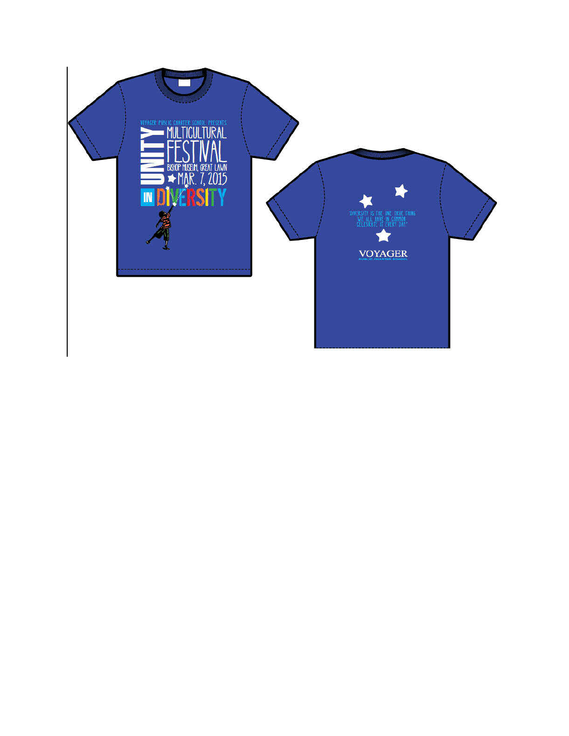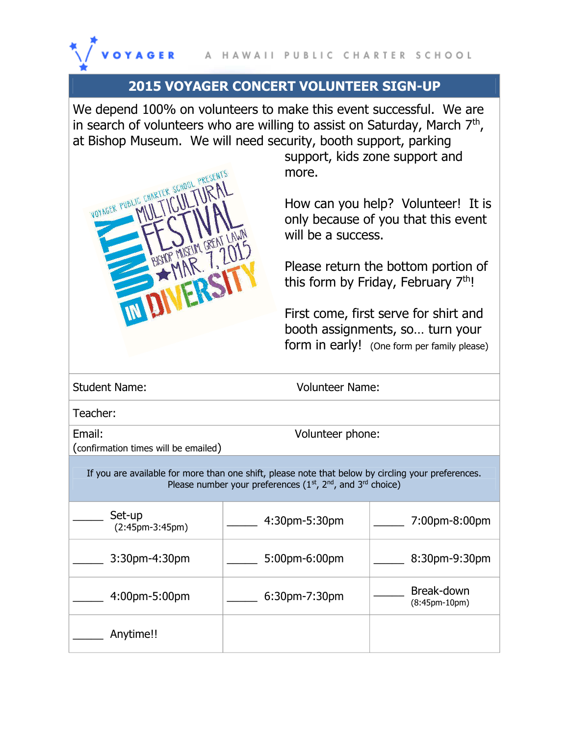

#### **2015 VOYAGER CONCERT VOLUNTEER SIGN-UP**

We depend 100% on volunteers to make this event successful. We are in search of volunteers who are willing to assist on Saturday, March  $7<sup>th</sup>$ , at Bishop Museum. We will need security, booth support, parking

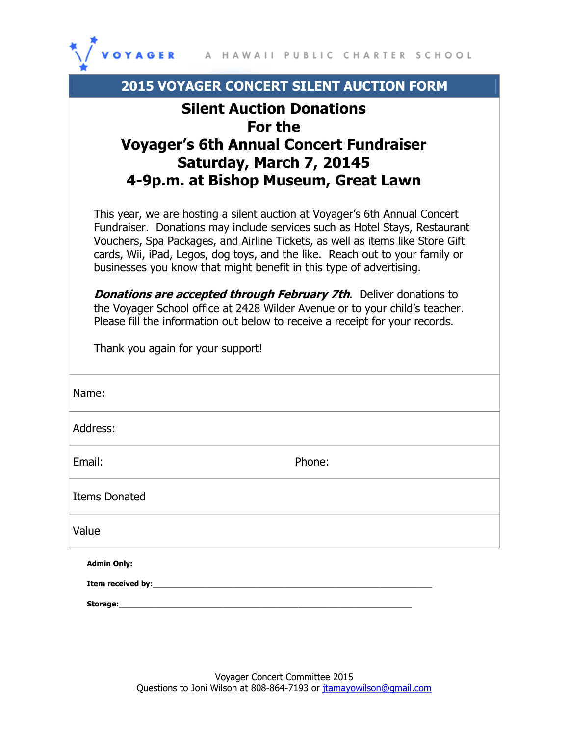

| <b>2015 VOYAGER CONCERT SILENT AUCTION FORM</b>                                                                                                                                                                                                                                                                                                                                                  |  |  |  |  |
|--------------------------------------------------------------------------------------------------------------------------------------------------------------------------------------------------------------------------------------------------------------------------------------------------------------------------------------------------------------------------------------------------|--|--|--|--|
| <b>Silent Auction Donations</b><br>For the<br><b>Voyager's 6th Annual Concert Fundraiser</b><br>Saturday, March 7, 20145<br>4-9p.m. at Bishop Museum, Great Lawn                                                                                                                                                                                                                                 |  |  |  |  |
| This year, we are hosting a silent auction at Voyager's 6th Annual Concert<br>Fundraiser. Donations may include services such as Hotel Stays, Restaurant<br>Vouchers, Spa Packages, and Airline Tickets, as well as items like Store Gift<br>cards, Wii, iPad, Legos, dog toys, and the like. Reach out to your family or<br>businesses you know that might benefit in this type of advertising. |  |  |  |  |
| <b>Donations are accepted through February 7th.</b> Deliver donations to<br>the Voyager School office at 2428 Wilder Avenue or to your child's teacher.<br>Please fill the information out below to receive a receipt for your records.<br>Thank you again for your support!                                                                                                                     |  |  |  |  |
| Name:                                                                                                                                                                                                                                                                                                                                                                                            |  |  |  |  |
| Address:                                                                                                                                                                                                                                                                                                                                                                                         |  |  |  |  |
| Email:<br>Phone:                                                                                                                                                                                                                                                                                                                                                                                 |  |  |  |  |
| <b>Items Donated</b>                                                                                                                                                                                                                                                                                                                                                                             |  |  |  |  |
| Value                                                                                                                                                                                                                                                                                                                                                                                            |  |  |  |  |
| <b>Admin Only:</b><br>Item received by: The annual state of the state of the state of the state of the state of the state of the state of the state of the state of the state of the state of the state of the state of the state of the state of th                                                                                                                                             |  |  |  |  |
| Storage:                                                                                                                                                                                                                                                                                                                                                                                         |  |  |  |  |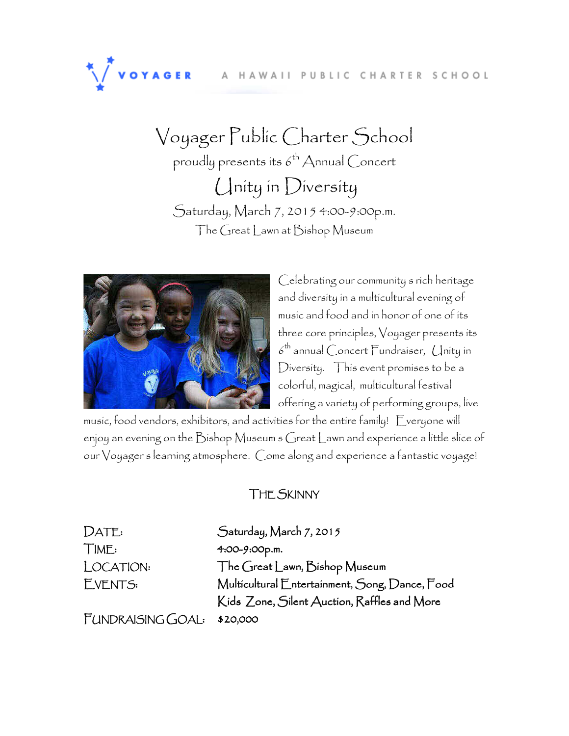#### A HAWAII PUBLIC CHARTER SCHOOL

Voyager Public Charter School proudly presents its  $6^{th}$  Annual Concert Unity in Diversity Saturday, March 7, 2015 4:00-9:00p.m. The Great Lawn at Bishop Museum



VOYAGER

Celebrating our community s rich heritage and diversity in a multicultural evening of music and food and in honor of one of its three core principles, Voyager presents its  $\delta^\text{th}$  annual Concert Fundraiser, Unity in Diversity. This event promises to be a colorful, magical, multicultural festival offering a variety of performing groups, live

music, food vendors, exhibitors, and activities for the entire family! Everyone will enjoy an evening on the Bishop Museum s Great Lawn and experience a little slice of our Voyager s learning atmosphere. Come along and experience a fantastic voyage!

#### THE SKINNY

DATE: Saturday, March 7, 2015 TIME: 4:00-9:00p.m. LOCATION: The Great Lawn, Bishop Museum EVENTS: Multicultural Entertainment, Song, Dance, Food Kids Zone, Silent Auction, Raffles and More

FUNDRAISING GOAL: \$20,000